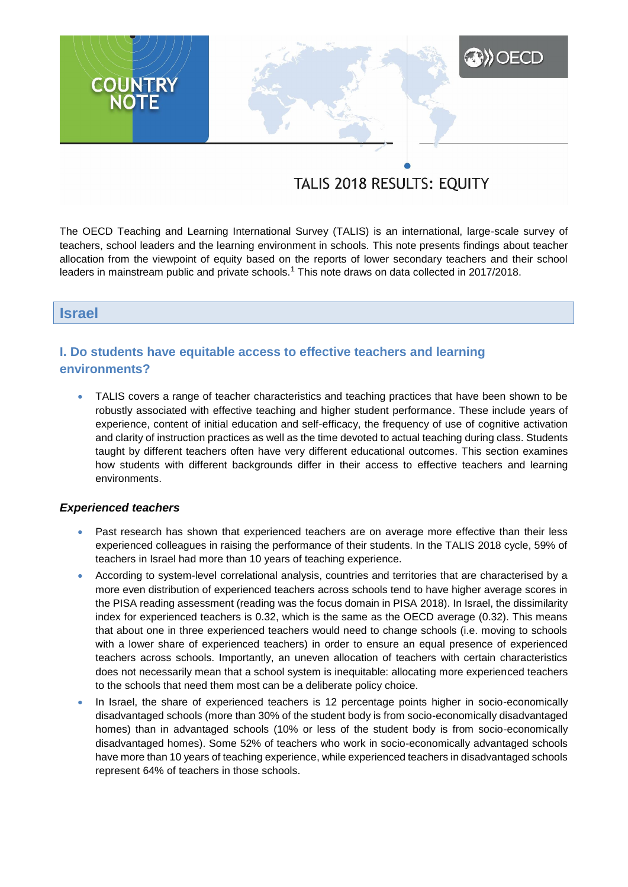# **XXX** OECD **COUNTRY**<br>NOTE

# TALIS 2018 RESULTS: EQUITY

The OECD Teaching and Learning International Survey (TALIS) is an international, large-scale survey of teachers, school leaders and the learning environment in schools. This note presents findings about teacher allocation from the viewpoint of equity based on the reports of lower secondary teachers and their school leaders in mainstream public and private schools.<sup>1</sup> This note draws on data collected in 2017/2018.

#### **Israel**

# **I. Do students have equitable access to effective teachers and learning environments?**

 TALIS covers a range of teacher characteristics and teaching practices that have been shown to be robustly associated with effective teaching and higher student performance. These include years of experience, content of initial education and self-efficacy, the frequency of use of cognitive activation and clarity of instruction practices as well as the time devoted to actual teaching during class. Students taught by different teachers often have very different educational outcomes. This section examines how students with different backgrounds differ in their access to effective teachers and learning environments.

#### *Experienced teachers*

- Past research has shown that experienced teachers are on average more effective than their less experienced colleagues in raising the performance of their students. In the TALIS 2018 cycle, 59% of teachers in Israel had more than 10 years of teaching experience.
- According to system-level correlational analysis, countries and territories that are characterised by a more even distribution of experienced teachers across schools tend to have higher average scores in the PISA reading assessment (reading was the focus domain in PISA 2018). In Israel, the dissimilarity index for experienced teachers is 0.32, which is the same as the OECD average (0.32). This means that about one in three experienced teachers would need to change schools (i.e. moving to schools with a lower share of experienced teachers) in order to ensure an equal presence of experienced teachers across schools. Importantly, an uneven allocation of teachers with certain characteristics does not necessarily mean that a school system is inequitable: allocating more experienced teachers to the schools that need them most can be a deliberate policy choice.
- In Israel, the share of experienced teachers is 12 percentage points higher in socio-economically disadvantaged schools (more than 30% of the student body is from socio-economically disadvantaged homes) than in advantaged schools (10% or less of the student body is from socio-economically disadvantaged homes). Some 52% of teachers who work in socio-economically advantaged schools have more than 10 years of teaching experience, while experienced teachers in disadvantaged schools represent 64% of teachers in those schools.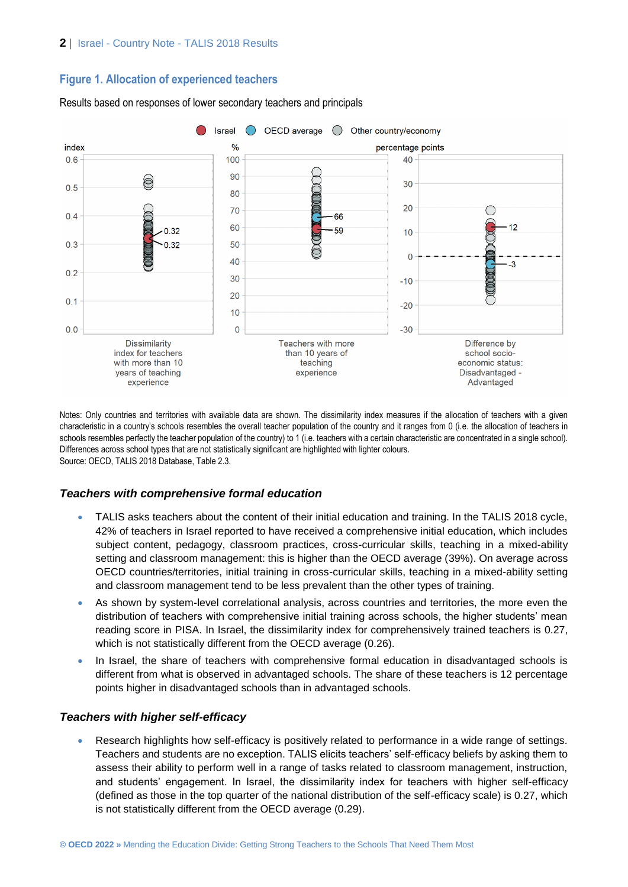# **Figure 1. Allocation of experienced teachers**



#### Results based on responses of lower secondary teachers and principals

Notes: Only countries and territories with available data are shown. The dissimilarity index measures if the allocation of teachers with a given characteristic in a country's schools resembles the overall teacher population of the country and it ranges from 0 (i.e. the allocation of teachers in schools resembles perfectly the teacher population of the country) to 1 (i.e. teachers with a certain characteristic are concentrated in a single school). Differences across school types that are not statistically significant are highlighted with lighter colours. Source: OECD, TALIS 2018 Database, Table 2.3.

#### *Teachers with comprehensive formal education*

- TALIS asks teachers about the content of their initial education and training. In the TALIS 2018 cycle, 42% of teachers in Israel reported to have received a comprehensive initial education, which includes subject content, pedagogy, classroom practices, cross-curricular skills, teaching in a mixed-ability setting and classroom management: this is higher than the OECD average (39%). On average across OECD countries/territories, initial training in cross-curricular skills, teaching in a mixed-ability setting and classroom management tend to be less prevalent than the other types of training.
- As shown by system-level correlational analysis, across countries and territories, the more even the distribution of teachers with comprehensive initial training across schools, the higher students' mean reading score in PISA. In Israel, the dissimilarity index for comprehensively trained teachers is 0.27, which is not statistically different from the OECD average (0.26).
- In Israel, the share of teachers with comprehensive formal education in disadvantaged schools is different from what is observed in advantaged schools. The share of these teachers is 12 percentage points higher in disadvantaged schools than in advantaged schools.

#### *Teachers with higher self-efficacy*

 Research highlights how self-efficacy is positively related to performance in a wide range of settings. Teachers and students are no exception. TALIS elicits teachers' self-efficacy beliefs by asking them to assess their ability to perform well in a range of tasks related to classroom management, instruction, and students' engagement. In Israel, the dissimilarity index for teachers with higher self-efficacy (defined as those in the top quarter of the national distribution of the self-efficacy scale) is 0.27, which is not statistically different from the OECD average (0.29).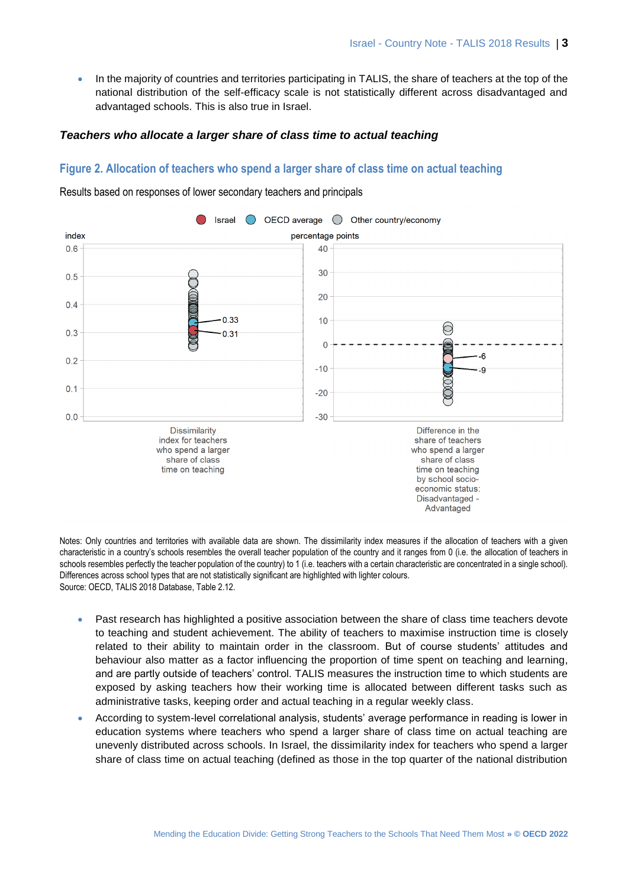• In the majority of countries and territories participating in TALIS, the share of teachers at the top of the national distribution of the self-efficacy scale is not statistically different across disadvantaged and advantaged schools. This is also true in Israel.

#### *Teachers who allocate a larger share of class time to actual teaching*

#### **Figure 2. Allocation of teachers who spend a larger share of class time on actual teaching**



Results based on responses of lower secondary teachers and principals

Notes: Only countries and territories with available data are shown. The dissimilarity index measures if the allocation of teachers with a given characteristic in a country's schools resembles the overall teacher population of the country and it ranges from 0 (i.e. the allocation of teachers in schools resembles perfectly the teacher population of the country) to 1 (i.e. teachers with a certain characteristic are concentrated in a single school). Differences across school types that are not statistically significant are highlighted with lighter colours. Source: OECD, TALIS 2018 Database, Table 2.12.

- Past research has highlighted a positive association between the share of class time teachers devote to teaching and student achievement. The ability of teachers to maximise instruction time is closely related to their ability to maintain order in the classroom. But of course students' attitudes and behaviour also matter as a factor influencing the proportion of time spent on teaching and learning, and are partly outside of teachers' control. TALIS measures the instruction time to which students are exposed by asking teachers how their working time is allocated between different tasks such as administrative tasks, keeping order and actual teaching in a regular weekly class.
- According to system-level correlational analysis, students' average performance in reading is lower in education systems where teachers who spend a larger share of class time on actual teaching are unevenly distributed across schools. In Israel, the dissimilarity index for teachers who spend a larger share of class time on actual teaching (defined as those in the top quarter of the national distribution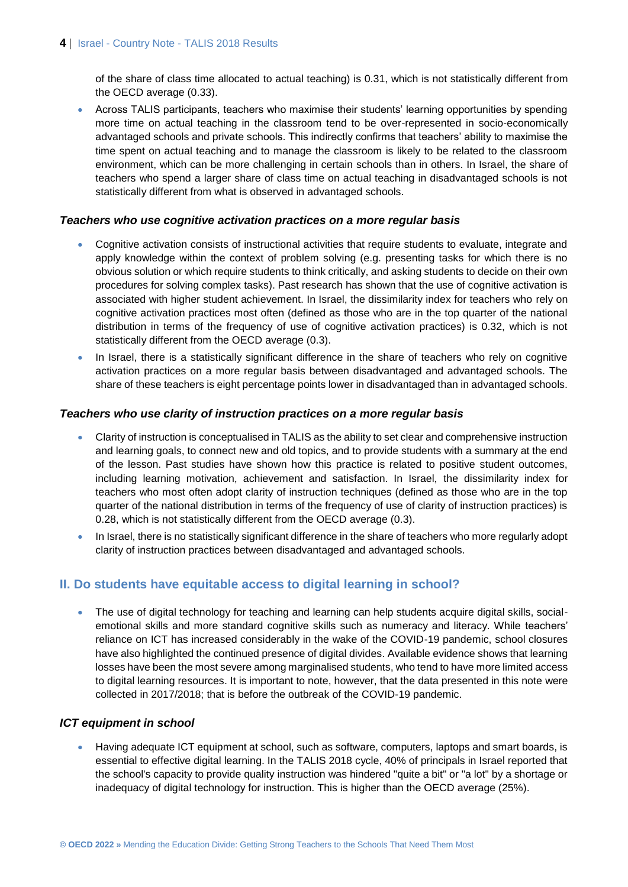of the share of class time allocated to actual teaching) is 0.31, which is not statistically different from the OECD average (0.33).

 Across TALIS participants, teachers who maximise their students' learning opportunities by spending more time on actual teaching in the classroom tend to be over-represented in socio-economically advantaged schools and private schools. This indirectly confirms that teachers' ability to maximise the time spent on actual teaching and to manage the classroom is likely to be related to the classroom environment, which can be more challenging in certain schools than in others. In Israel, the share of teachers who spend a larger share of class time on actual teaching in disadvantaged schools is not statistically different from what is observed in advantaged schools.

#### *Teachers who use cognitive activation practices on a more regular basis*

- Cognitive activation consists of instructional activities that require students to evaluate, integrate and apply knowledge within the context of problem solving (e.g. presenting tasks for which there is no obvious solution or which require students to think critically, and asking students to decide on their own procedures for solving complex tasks). Past research has shown that the use of cognitive activation is associated with higher student achievement. In Israel, the dissimilarity index for teachers who rely on cognitive activation practices most often (defined as those who are in the top quarter of the national distribution in terms of the frequency of use of cognitive activation practices) is 0.32, which is not statistically different from the OECD average (0.3).
- In Israel, there is a statistically significant difference in the share of teachers who rely on cognitive activation practices on a more regular basis between disadvantaged and advantaged schools. The share of these teachers is eight percentage points lower in disadvantaged than in advantaged schools.

#### *Teachers who use clarity of instruction practices on a more regular basis*

- Clarity of instruction is conceptualised in TALIS as the ability to set clear and comprehensive instruction and learning goals, to connect new and old topics, and to provide students with a summary at the end of the lesson. Past studies have shown how this practice is related to positive student outcomes, including learning motivation, achievement and satisfaction. In Israel, the dissimilarity index for teachers who most often adopt clarity of instruction techniques (defined as those who are in the top quarter of the national distribution in terms of the frequency of use of clarity of instruction practices) is 0.28, which is not statistically different from the OECD average (0.3).
- In Israel, there is no statistically significant difference in the share of teachers who more regularly adopt clarity of instruction practices between disadvantaged and advantaged schools.

# **II. Do students have equitable access to digital learning in school?**

 The use of digital technology for teaching and learning can help students acquire digital skills, socialemotional skills and more standard cognitive skills such as numeracy and literacy. While teachers' reliance on ICT has increased considerably in the wake of the COVID-19 pandemic, school closures have also highlighted the continued presence of digital divides. Available evidence shows that learning losses have been the most severe among marginalised students, who tend to have more limited access to digital learning resources. It is important to note, however, that the data presented in this note were collected in 2017/2018; that is before the outbreak of the COVID-19 pandemic.

#### *ICT equipment in school*

 Having adequate ICT equipment at school, such as software, computers, laptops and smart boards, is essential to effective digital learning. In the TALIS 2018 cycle, 40% of principals in Israel reported that the school's capacity to provide quality instruction was hindered "quite a bit" or "a lot" by a shortage or inadequacy of digital technology for instruction. This is higher than the OECD average (25%).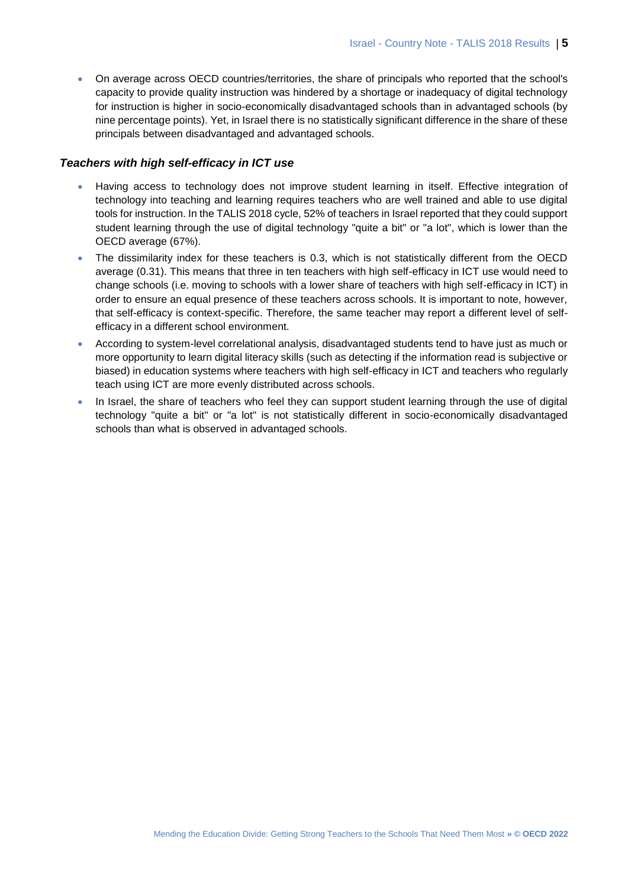On average across OECD countries/territories, the share of principals who reported that the school's capacity to provide quality instruction was hindered by a shortage or inadequacy of digital technology for instruction is higher in socio-economically disadvantaged schools than in advantaged schools (by nine percentage points). Yet, in Israel there is no statistically significant difference in the share of these principals between disadvantaged and advantaged schools.

#### *Teachers with high self-efficacy in ICT use*

- Having access to technology does not improve student learning in itself. Effective integration of technology into teaching and learning requires teachers who are well trained and able to use digital tools for instruction. In the TALIS 2018 cycle, 52% of teachers in Israel reported that they could support student learning through the use of digital technology "quite a bit" or "a lot", which is lower than the OECD average (67%).
- The dissimilarity index for these teachers is 0.3, which is not statistically different from the OECD average (0.31). This means that three in ten teachers with high self-efficacy in ICT use would need to change schools (i.e. moving to schools with a lower share of teachers with high self-efficacy in ICT) in order to ensure an equal presence of these teachers across schools. It is important to note, however, that self-efficacy is context-specific. Therefore, the same teacher may report a different level of selfefficacy in a different school environment.
- According to system-level correlational analysis, disadvantaged students tend to have just as much or more opportunity to learn digital literacy skills (such as detecting if the information read is subjective or biased) in education systems where teachers with high self-efficacy in ICT and teachers who regularly teach using ICT are more evenly distributed across schools.
- In Israel, the share of teachers who feel they can support student learning through the use of digital technology "quite a bit" or "a lot" is not statistically different in socio-economically disadvantaged schools than what is observed in advantaged schools.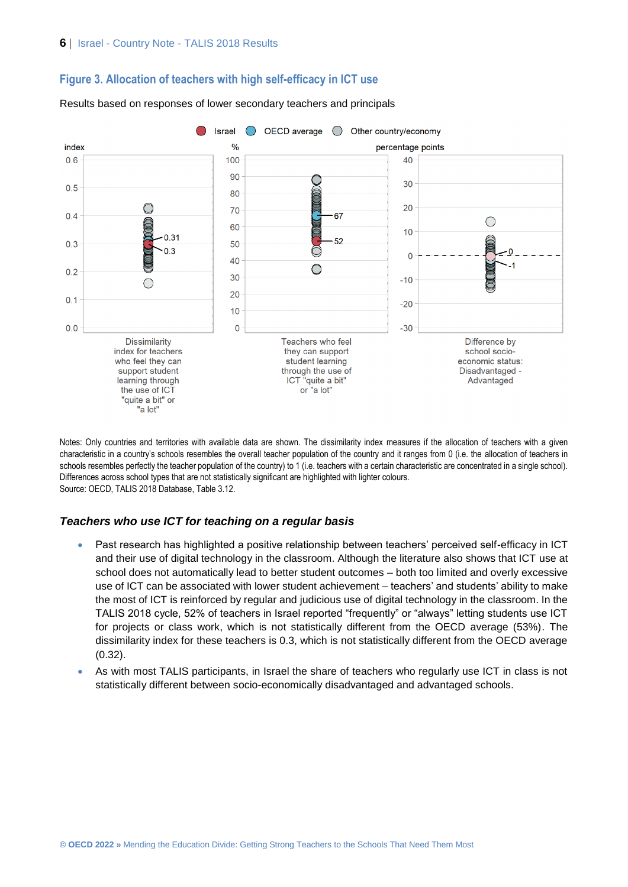#### **Figure 3. Allocation of teachers with high self-efficacy in ICT use**



Results based on responses of lower secondary teachers and principals

Notes: Only countries and territories with available data are shown. The dissimilarity index measures if the allocation of teachers with a given characteristic in a country's schools resembles the overall teacher population of the country and it ranges from 0 (i.e. the allocation of teachers in schools resembles perfectly the teacher population of the country) to 1 (i.e. teachers with a certain characteristic are concentrated in a single school). Differences across school types that are not statistically significant are highlighted with lighter colours. Source: OECD, TALIS 2018 Database, Table 3.12.

#### *Teachers who use ICT for teaching on a regular basis*

- Past research has highlighted a positive relationship between teachers' perceived self-efficacy in ICT and their use of digital technology in the classroom. Although the literature also shows that ICT use at school does not automatically lead to better student outcomes – both too limited and overly excessive use of ICT can be associated with lower student achievement – teachers' and students' ability to make the most of ICT is reinforced by regular and judicious use of digital technology in the classroom. In the TALIS 2018 cycle, 52% of teachers in Israel reported "frequently" or "always" letting students use ICT for projects or class work, which is not statistically different from the OECD average (53%). The dissimilarity index for these teachers is 0.3, which is not statistically different from the OECD average (0.32).
- As with most TALIS participants, in Israel the share of teachers who regularly use ICT in class is not statistically different between socio-economically disadvantaged and advantaged schools.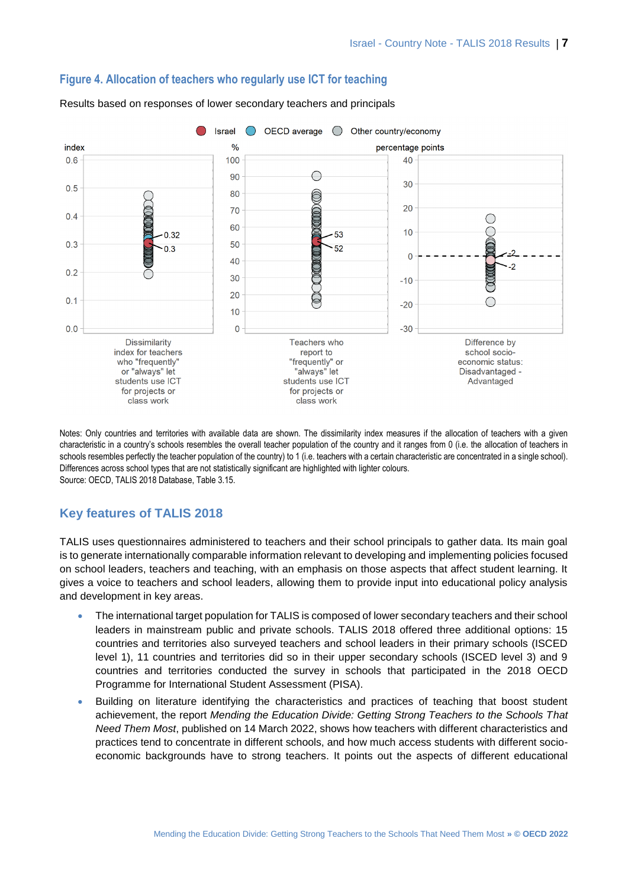

#### **Figure 4. Allocation of teachers who regularly use ICT for teaching**

Results based on responses of lower secondary teachers and principals

Notes: Only countries and territories with available data are shown. The dissimilarity index measures if the allocation of teachers with a given characteristic in a country's schools resembles the overall teacher population of the country and it ranges from 0 (i.e. the allocation of teachers in schools resembles perfectly the teacher population of the country) to 1 (i.e. teachers with a certain characteristic are concentrated in a single school). Differences across school types that are not statistically significant are highlighted with lighter colours. Source: OECD, TALIS 2018 Database, Table 3.15.

# **Key features of TALIS 2018**

TALIS uses questionnaires administered to teachers and their school principals to gather data. Its main goal is to generate internationally comparable information relevant to developing and implementing policies focused on school leaders, teachers and teaching, with an emphasis on those aspects that affect student learning. It gives a voice to teachers and school leaders, allowing them to provide input into educational policy analysis and development in key areas.

- The international target population for TALIS is composed of lower secondary teachers and their school leaders in mainstream public and private schools. TALIS 2018 offered three additional options: 15 countries and territories also surveyed teachers and school leaders in their primary schools (ISCED level 1), 11 countries and territories did so in their upper secondary schools (ISCED level 3) and 9 countries and territories conducted the survey in schools that participated in the 2018 OECD Programme for International Student Assessment (PISA).
- Building on literature identifying the characteristics and practices of teaching that boost student achievement, the report *Mending the Education Divide: Getting Strong Teachers to the Schools That Need Them Most*, published on 14 March 2022, shows how teachers with different characteristics and practices tend to concentrate in different schools, and how much access students with different socioeconomic backgrounds have to strong teachers. It points out the aspects of different educational